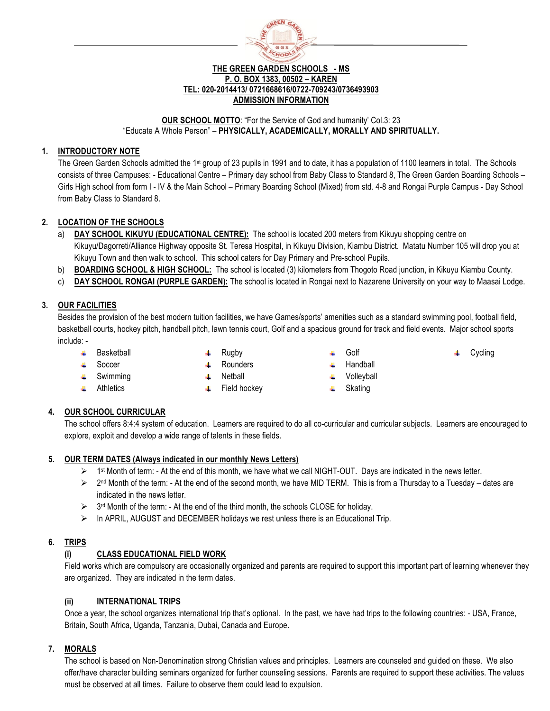

### **THE GREEN GARDEN SCHOOLS - MS P. O. BOX 1383, 00502 – KAREN TEL: 020-2014413/ 0721668616/0722-709243/0736493903 ADMISSION INFORMATION**

# **OUR SCHOOL MOTTO**: "For the Service of God and humanity' Col.3: 23 "Educate A Whole Person" – **PHYSICALLY, ACADEMICALLY, MORALLY AND SPIRITUALLY.**

# **1. INTRODUCTORY NOTE**

The Green Garden Schools admitted the 1<sup>st</sup> group of 23 pupils in 1991 and to date, it has a population of 1100 learners in total. The Schools consists of three Campuses: - Educational Centre – Primary day school from Baby Class to Standard 8, The Green Garden Boarding Schools – Girls High school from form I - IV & the Main School – Primary Boarding School (Mixed) from std. 4-8 and Rongai Purple Campus - Day School from Baby Class to Standard 8.

# **2. LOCATION OF THE SCHOOLS**

- **DAY SCHOOL KIKUYU (EDUCATIONAL CENTRE):** The school is located 200 meters from Kikuyu shopping centre on Kikuyu/Dagorreti/Alliance Highway opposite St. Teresa Hospital, in Kikuyu Division, Kiambu District. Matatu Number 105 will drop you at Kikuyu Town and then walk to school. This school caters for Day Primary and Pre-school Pupils.
- b) **BOARDING SCHOOL & HIGH SCHOOL:** The school is located (3) kilometers from Thogoto Road junction, in Kikuyu Kiambu County.
- c) **DAY SCHOOL RONGAI (PURPLE GARDEN):** The school is located in Rongai next to Nazarene University on your way to Maasai Lodge.

# **3. OUR FACILITIES**

Besides the provision of the best modern tuition facilities, we have Games/sports' amenities such as a standard swimming pool, football field, basketball courts, hockey pitch, handball pitch, lawn tennis court, Golf and a spacious ground for track and field events. Major school sports include: -

- $\leftarrow$  Basketball
- **↓** Soccer
- Rugby Rounders
- Netball
- $\leftarrow$  Swimming  $\leftarrow$  Athletics
- Field hockey ALC: Y
- Golf  $\leftarrow$  Handball

Cycling

- **↓** Volleyball
- $\leftarrow$  Skating

# **4. OUR SCHOOL CURRICULAR**

The school offers 8:4:4 system of education. Learners are required to do all co-curricular and curricular subjects. Learners are encouraged to explore, exploit and develop a wide range of talents in these fields.

# **5. OUR TERM DATES (Always indicated in our monthly News Letters)**

- $\triangleright$  1<sup>st</sup> Month of term: At the end of this month, we have what we call NIGHT-OUT. Days are indicated in the news letter.
- $\triangleright$  2<sup>nd</sup> Month of the term: At the end of the second month, we have MID TERM. This is from a Thursday to a Tuesday dates are indicated in the news letter.
- $\triangleright$  3<sup>rd</sup> Month of the term: At the end of the third month, the schools CLOSE for holiday.
- $\triangleright$  In APRIL, AUGUST and DECEMBER holidays we rest unless there is an Educational Trip.

# **6. TRIPS**

# **(i) CLASS EDUCATIONAL FIELD WORK**

Field works which are compulsory are occasionally organized and parents are required to support this important part of learning whenever they are organized. They are indicated in the term dates.

# **(ii) INTERNATIONAL TRIPS**

Once a year, the school organizes international trip that's optional. In the past, we have had trips to the following countries: - USA, France, Britain, South Africa, Uganda, Tanzania, Dubai, Canada and Europe.

# **7. MORALS**

The school is based on Non-Denomination strong Christian values and principles. Learners are counseled and guided on these. We also offer/have character building seminars organized for further counseling sessions. Parents are required to support these activities. The values must be observed at all times. Failure to observe them could lead to expulsion.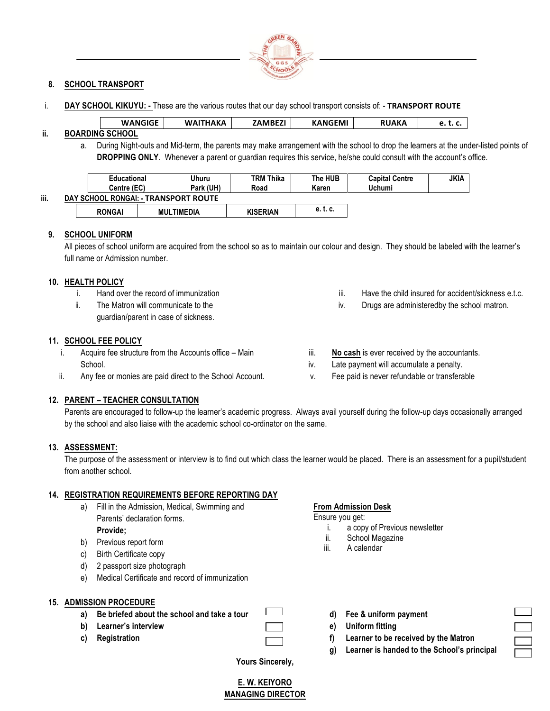

### **8. SCHOOL TRANSPORT**

i. **DAY SCHOOL KIKUYU: -** These are the various routes that our day school transport consists of: - TRANSPORT ROUTE

| <b>WANGIGE</b> | AKA<br><b>WAI</b> | ᄖᄕ | <b>KANGEMI</b> | АКА  | いいし |
|----------------|-------------------|----|----------------|------|-----|
|                |                   |    |                | 1000 |     |

# **ii. BOARDING SCHOOL**

a. During Night-outs and Mid-term, the parents may make arrangement with the school to drop the learners at the under-listed points of **DROPPING ONLY**. Whenever a parent or guardian requires this service, he/she could consult with the account's office.

|      | <b>Educational</b><br>Centre (EC)    |                   | Uhuru<br><b>TRM Thika</b><br>Park (UH)<br>Karen<br>Road |                 | The HUB  | <b>Capital Centre</b><br>Uchumi | <b>JKIA</b> |  |
|------|--------------------------------------|-------------------|---------------------------------------------------------|-----------------|----------|---------------------------------|-------------|--|
| iii. | DAY SCHOOL RONGAI: - TRANSPORT ROUTE |                   |                                                         |                 |          |                                 |             |  |
|      | <b>RONGAI</b>                        | <b>MULTIMEDIA</b> |                                                         | <b>KISERIAN</b> | e. t. c. |                                 |             |  |

### **9. SCHOOL UNIFORM**

All pieces of school uniform are acquired from the school so as to maintain our colour and design. They should be labeled with the learner's full name or Admission number.

### **10. HEALTH POLICY**

- i. Hand over the record of immunization
- ii. The Matron will communicate to the guardian/parent in case of sickness.

### **11. SCHOOL FEE POLICY**

- i. Acquire fee structure from the Accounts office Main School.
- ii. Any fee or monies are paid direct to the School Account.

# **12. PARENT – TEACHER CONSULTATION**

Parents are encouraged to follow-up the learner's academic progress. Always avail yourself during the follow-up days occasionally arranged by the school and also liaise with the academic school co-ordinator on the same.

### **13. ASSESSMENT:**

The purpose of the assessment or interview is to find out which class the learner would be placed. There is an assessment for a pupil/student from another school.

### **14. REGISTRATION REQUIREMENTS BEFORE REPORTING DAY**

- a) Fill in the Admission, Medical, Swimming and Parents' declaration forms. **Provide;**
- b) Previous report form
- c) Birth Certificate copy
- d) 2 passport size photograph
- e) Medical Certificate and record of immunization

### **15. ADMISSION PROCEDURE**

- **a) Be briefed about the school and take a tour**
- **b) Learner's interview**
- **c) Registration**

**From Admission Desk**

Ensure you get:

i. a copy of Previous newsletter

iii. **No cash** is ever received by the accountants. iv. Late payment will accumulate a penalty. v. Fee paid is never refundable or transferable

- ii. School Magazine
- iii. A calendar
- **d) Fee & uniform payment**
- **e) Uniform fitting**
- **f) Learner to be received by the Matron**
- **g) Learner is handed to the School's principal**

iii. Have the child insured for accident/sickness e.t.c. iv. Drugs are administeredby the school matron.

**Yours Sincerely,**

**E. W. KEIYORO MANAGING DIRECTOR**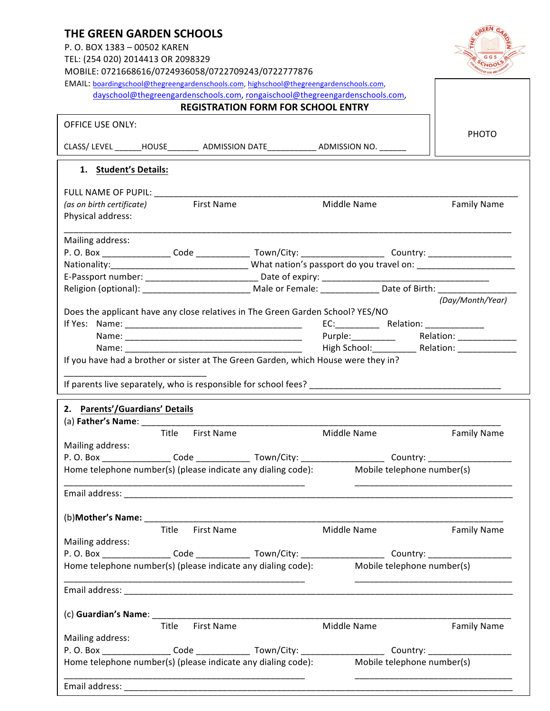| <b>THE GREEN GARDEN SCHOOLS</b><br>P.O. BOX 1383 - 00502 KAREN<br>TEL: (254 020) 2014413 OR 2098329<br>MOBILE: 0721668616/0724936058/0722709243/0722777876                                                |                                                                                                                       |
|-----------------------------------------------------------------------------------------------------------------------------------------------------------------------------------------------------------|-----------------------------------------------------------------------------------------------------------------------|
| EMAIL: boardingschool@thegreengardenschools.com, highschool@thegreengardenschools.com,                                                                                                                    |                                                                                                                       |
| dayschool@thegreengardenschools.com, rongaischool@thegreengardenschools.com,<br><b>REGISTRATION FORM FOR SCHOOL ENTRY</b>                                                                                 |                                                                                                                       |
|                                                                                                                                                                                                           |                                                                                                                       |
| <b>OFFICE USE ONLY:</b>                                                                                                                                                                                   | <b>PHOTO</b>                                                                                                          |
| CLASS/ LEVEL _______HOUSE__________ ADMISSION DATE_____________ ADMISSION NO. _______                                                                                                                     |                                                                                                                       |
| 1. Student's Details:                                                                                                                                                                                     |                                                                                                                       |
|                                                                                                                                                                                                           |                                                                                                                       |
| <b>First Name</b><br>(as on birth certificate)                                                                                                                                                            | Middle Name<br><b>Family Name</b>                                                                                     |
| Physical address:                                                                                                                                                                                         |                                                                                                                       |
| Mailing address:                                                                                                                                                                                          |                                                                                                                       |
|                                                                                                                                                                                                           |                                                                                                                       |
|                                                                                                                                                                                                           |                                                                                                                       |
|                                                                                                                                                                                                           |                                                                                                                       |
|                                                                                                                                                                                                           | Religion (optional): ___________________________ Male or Female: ______________ Date of Birth: _______________        |
| Does the applicant have any close relatives in The Green Garden School? YES/NO<br>If you have had a brother or sister at The Green Garden, which House were they in?                                      | (Day/Month/Year)<br>Purple: ___________ Relation: ____________<br>High School: ____________ Relation: _______________ |
| 2. Parents'/Guardians' Details                                                                                                                                                                            |                                                                                                                       |
| (a) Father's Name: $\_\_$                                                                                                                                                                                 |                                                                                                                       |
| Title First Name                                                                                                                                                                                          | Middle Name<br><b>Family Name</b>                                                                                     |
| Mailing address:                                                                                                                                                                                          |                                                                                                                       |
| P.O. Box _________________Code ________________ Town/City: _____________________ Country: ____________________                                                                                            |                                                                                                                       |
| Home telephone number(s) (please indicate any dialing code): Mobile telephone number(s)                                                                                                                   |                                                                                                                       |
|                                                                                                                                                                                                           |                                                                                                                       |
|                                                                                                                                                                                                           |                                                                                                                       |
| Title First Name                                                                                                                                                                                          | Middle Name<br><b>Family Name</b>                                                                                     |
| Mailing address:                                                                                                                                                                                          |                                                                                                                       |
| P.O. Box _________________Code _______________ Town/City: ______________________ Country: ____________________                                                                                            |                                                                                                                       |
| Home telephone number(s) (please indicate any dialing code): Mobile telephone number(s)                                                                                                                   |                                                                                                                       |
|                                                                                                                                                                                                           |                                                                                                                       |
|                                                                                                                                                                                                           |                                                                                                                       |
| Title First Name                                                                                                                                                                                          | Middle Name<br><b>Family Name</b>                                                                                     |
| Mailing address:                                                                                                                                                                                          |                                                                                                                       |
| P.O. Box _________________Code ________________ Town/City: _____________________ Country: ____________________<br>Home telephone number(s) (please indicate any dialing code): Mobile telephone number(s) |                                                                                                                       |
|                                                                                                                                                                                                           |                                                                                                                       |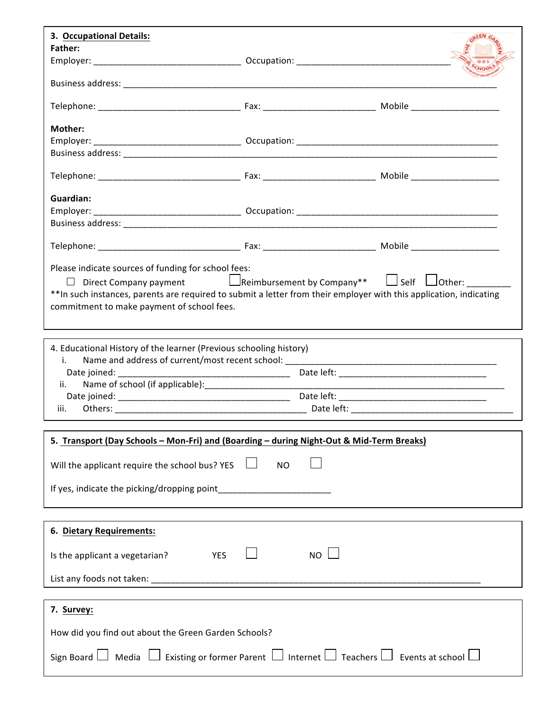| 3. Occupational Details:                                                                                                                                                                           |           |  |
|----------------------------------------------------------------------------------------------------------------------------------------------------------------------------------------------------|-----------|--|
| <b>Father:</b>                                                                                                                                                                                     |           |  |
|                                                                                                                                                                                                    |           |  |
|                                                                                                                                                                                                    |           |  |
|                                                                                                                                                                                                    |           |  |
|                                                                                                                                                                                                    |           |  |
|                                                                                                                                                                                                    |           |  |
| Mother:                                                                                                                                                                                            |           |  |
|                                                                                                                                                                                                    |           |  |
|                                                                                                                                                                                                    |           |  |
|                                                                                                                                                                                                    |           |  |
|                                                                                                                                                                                                    |           |  |
| Guardian:                                                                                                                                                                                          |           |  |
|                                                                                                                                                                                                    |           |  |
|                                                                                                                                                                                                    |           |  |
|                                                                                                                                                                                                    |           |  |
|                                                                                                                                                                                                    |           |  |
|                                                                                                                                                                                                    |           |  |
| Please indicate sources of funding for school fees:                                                                                                                                                |           |  |
| □ Direct Company payment<br>Line impursement by Company**  Line Self Line other:<br>Line of the system of the Self Line of the Line of the Self Line of the Self Line of the Self Line of the Self |           |  |
| ** In such instances, parents are required to submit a letter from their employer with this application, indicating                                                                                |           |  |
| commitment to make payment of school fees.                                                                                                                                                         |           |  |
|                                                                                                                                                                                                    |           |  |
|                                                                                                                                                                                                    |           |  |
| 4. Educational History of the learner (Previous schooling history)                                                                                                                                 |           |  |
| i.                                                                                                                                                                                                 |           |  |
|                                                                                                                                                                                                    |           |  |
| ii.                                                                                                                                                                                                |           |  |
|                                                                                                                                                                                                    |           |  |
| iii.                                                                                                                                                                                               |           |  |
|                                                                                                                                                                                                    |           |  |
| 5. Transport (Day Schools - Mon-Fri) and (Boarding - during Night-Out & Mid-Term Breaks)                                                                                                           |           |  |
|                                                                                                                                                                                                    |           |  |
| Will the applicant require the school bus? YES                                                                                                                                                     | <b>NO</b> |  |
|                                                                                                                                                                                                    |           |  |
|                                                                                                                                                                                                    |           |  |
|                                                                                                                                                                                                    |           |  |
|                                                                                                                                                                                                    |           |  |
| 6. Dietary Requirements:                                                                                                                                                                           |           |  |
|                                                                                                                                                                                                    |           |  |
| <b>YES</b><br>Is the applicant a vegetarian?                                                                                                                                                       | NO        |  |
|                                                                                                                                                                                                    |           |  |
|                                                                                                                                                                                                    |           |  |
|                                                                                                                                                                                                    |           |  |
| 7. Survey:                                                                                                                                                                                         |           |  |
|                                                                                                                                                                                                    |           |  |
| How did you find out about the Green Garden Schools?                                                                                                                                               |           |  |
|                                                                                                                                                                                                    |           |  |
| Sign Board $\Box$ Media $\Box$ Existing or former Parent $\Box$ Internet $\Box$ Teachers $\Box$ Events at school $\Box$                                                                            |           |  |
|                                                                                                                                                                                                    |           |  |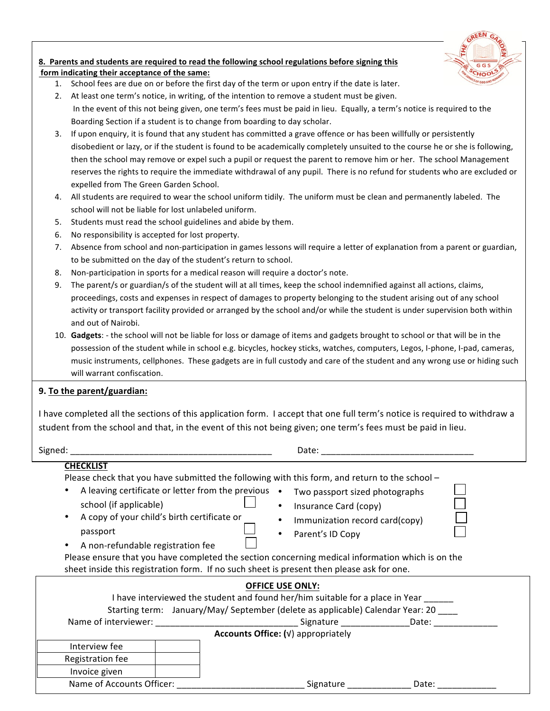

# 8. Parents and students are required to read the following school regulations before signing this form indicating their acceptance of the same:

- 1. School fees are due on or before the first day of the term or upon entry if the date is later.
- 2. At least one term's notice, in writing, of the intention to remove a student must be given.
- In the event of this not being given, one term's fees must be paid in lieu. Equally, a term's notice is required to the Boarding Section if a student is to change from boarding to day scholar.
- 3. If upon enquiry, it is found that any student has committed a grave offence or has been willfully or persistently disobedient or lazy, or if the student is found to be academically completely unsuited to the course he or she is following, then the school may remove or expel such a pupil or request the parent to remove him or her. The school Management reserves the rights to require the immediate withdrawal of any pupil. There is no refund for students who are excluded or expelled from The Green Garden School.
- 4. All students are required to wear the school uniform tidily. The uniform must be clean and permanently labeled. The school will not be liable for lost unlabeled uniform.
- 5. Students must read the school guidelines and abide by them.
- 6. No responsibility is accepted for lost property.
- 7. Absence from school and non-participation in games lessons will require a letter of explanation from a parent or guardian, to be submitted on the day of the student's return to school.
- 8. Non-participation in sports for a medical reason will require a doctor's note.
- 9. The parent/s or guardian/s of the student will at all times, keep the school indemnified against all actions, claims, proceedings, costs and expenses in respect of damages to property belonging to the student arising out of any school activity or transport facility provided or arranged by the school and/or while the student is under supervision both within and out of Nairobi.
- 10. Gadgets: the school will not be liable for loss or damage of items and gadgets brought to school or that will be in the possession of the student while in school e.g. bicycles, hockey sticks, watches, computers, Legos, I-phone, I-pad, cameras, music instruments, cellphones. These gadgets are in full custody and care of the student and any wrong use or hiding such will warrant confiscation.

# **9.** To the parent/guardian:

I have completed all the sections of this application form. I accept that one full term's notice is required to withdraw a student from the school and that, in the event of this not being given; one term's fees must be paid in lieu.

Signed: \_\_\_\_\_\_\_\_\_\_\_\_\_\_\_\_\_\_\_\_\_\_\_\_\_\_\_\_\_\_\_\_\_\_\_\_\_\_\_\_\_ Date: \_\_\_\_\_\_\_\_\_\_\_\_\_\_\_\_\_\_\_\_\_\_\_\_\_\_\_\_\_\_\_

| L       |   |
|---------|---|
| ×<br>۰. | × |

# **CHECKLIST**

Please check that you have submitted the following with this form, and return to the school –

- A leaving certificate or letter from the previous  $\bullet$ school (if applicable)
- A copy of your child's birth certificate or passport

A non-refundable registration fee

- Insurance Card (copy)
- Immunization record card(copy)

Two passport sized photographs

Parent's ID Copy

Please ensure that you have completed the section concerning medical information which is on the sheet inside this registration form. If no such sheet is present then please ask for one.

|                           | <b>OFFICE USE ONLY:</b>                                                        |
|---------------------------|--------------------------------------------------------------------------------|
|                           | I have interviewed the student and found her/him suitable for a place in Year  |
|                           | Starting term: January/May/ September (delete as applicable) Calendar Year: 20 |
| Name of interviewer:      | Signature<br>Date:                                                             |
|                           | Accounts Office: (v) appropriately                                             |
| Interview fee             |                                                                                |
| Registration fee          |                                                                                |
| Invoice given             |                                                                                |
| Name of Accounts Officer: | Signature<br>Date:                                                             |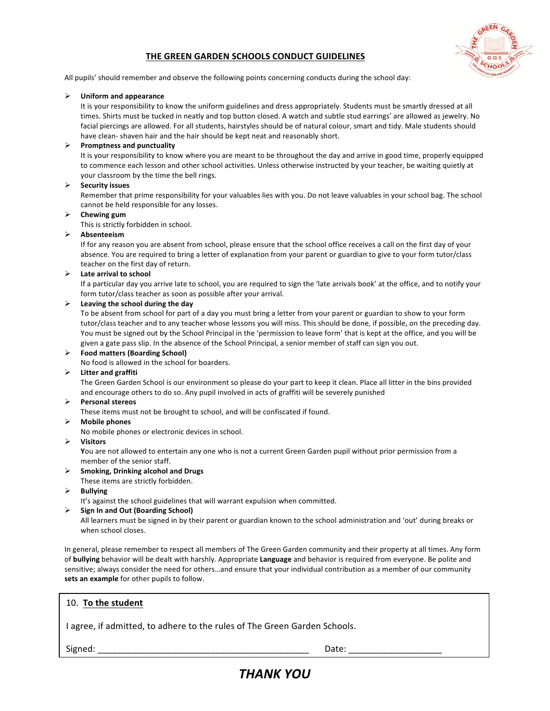# **THE GREEN GARDEN SCHOOLS CONDUCT GUIDELINES**



All pupils' should remember and observe the following points concerning conducts during the school day:

#### Ø **Uniform and appearance**

It is your responsibility to know the uniform guidelines and dress appropriately. Students must be smartly dressed at all times. Shirts must be tucked in neatly and top button closed. A watch and subtle stud earrings' are allowed as jewelry. No facial piercings are allowed. For all students, hairstyles should be of natural colour, smart and tidy. Male students should have clean- shaven hair and the hair should be kept neat and reasonably short.

#### $\triangleright$  Promptness and punctuality

It is your responsibility to know where you are meant to be throughout the day and arrive in good time, properly equipped to commence each lesson and other school activities. Unless otherwise instructed by your teacher, be waiting quietly at your classroom by the time the bell rings.

#### Ø **Security issues**

Remember that prime responsibility for your valuables lies with you. Do not leave valuables in your school bag. The school cannot be held responsible for any losses.

#### $\triangleright$  Chewing gum

This is strictly forbidden in school.

#### Ø **Absenteeism**

If for any reason you are absent from school, please ensure that the school office receives a call on the first day of your absence. You are required to bring a letter of explanation from your parent or guardian to give to your form tutor/class teacher on the first day of return.

#### Ø **Late arrival to school**

If a particular day you arrive late to school, you are required to sign the 'late arrivals book' at the office, and to notify your form tutor/class teacher as soon as possible after your arrival.

#### $\triangleright$  Leaving the school during the day

To be absent from school for part of a day you must bring a letter from your parent or guardian to show to your form tutor/class teacher and to any teacher whose lessons you will miss. This should be done, if possible, on the preceding day. You must be signed out by the School Principal in the 'permission to leave form' that is kept at the office, and you will be given a gate pass slip. In the absence of the School Principal, a senior member of staff can sign you out.

#### Ø **Food matters (Boarding School)**

No food is allowed in the school for boarders.

#### Ø **Litter and graffiti**

The Green Garden School is our environment so please do your part to keep it clean. Place all litter in the bins provided and encourage others to do so. Any pupil involved in acts of graffiti will be severely punished

### Ø **Personal stereos**

These items must not be brought to school, and will be confiscated if found.

#### Ø **Mobile phones**

- No mobile phones or electronic devices in school.
- Ø **Visitors**

You are not allowed to entertain any one who is not a current Green Garden pupil without prior permission from a member of the senior staff.

#### Ø **Smoking, Drinking alcohol and Drugs**

These items are strictly forbidden.

- Ø **Bullying**
	- It's against the school guidelines that will warrant expulsion when committed.
- Ø **Sign In and Out (Boarding School)**

All learners must be signed in by their parent or guardian known to the school administration and 'out' during breaks or when school closes.

In general, please remember to respect all members of The Green Garden community and their property at all times. Any form of **bullying** behavior will be dealt with harshly. Appropriate Language and behavior is required from everyone. Be polite and sensitive; always consider the need for others...and ensure that your individual contribution as a member of our community sets an example for other pupils to follow.

### 10. To the student

I agree, if admitted, to adhere to the rules of The Green Garden Schools.

Signed: \_\_\_\_\_\_\_\_\_\_\_\_\_\_\_\_\_\_\_\_\_\_\_\_\_\_\_\_\_\_\_\_\_\_\_\_\_\_\_\_\_\_\_ Date: \_\_\_\_\_\_\_\_\_\_\_\_\_\_\_\_\_\_\_

# *THANK YOU*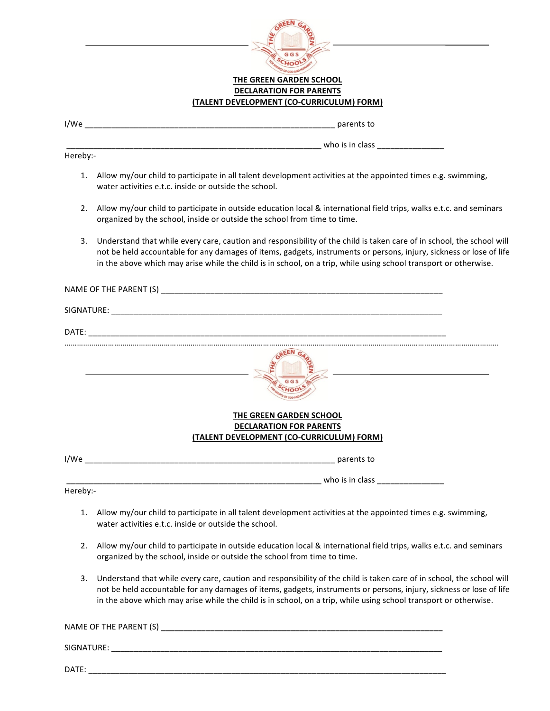

### **THE GREEN GARDEN SCHOOL DECLARATION FOR PARENTS (TALENT DEVELOPMENT (CO-CURRICULUM) FORM)**

| I/We |  | narents |
|------|--|---------|
|------|--|---------|

Hereby:-

- 1. Allow my/our child to participate in all talent development activities at the appointed times e.g. swimming, water activities e.t.c. inside or outside the school.
- 2. Allow my/our child to participate in outside education local & international field trips, walks e.t.c. and seminars organized by the school, inside or outside the school from time to time.

\_\_\_\_\_\_\_\_\_\_\_\_\_\_\_\_\_\_\_\_\_\_\_\_\_\_\_\_\_\_\_\_\_\_\_\_\_\_\_\_\_\_\_\_\_\_\_\_\_\_\_\_\_\_\_\_\_ who is in class \_\_\_\_\_\_\_\_\_\_\_\_\_\_\_ 

3. Understand that while every care, caution and responsibility of the child is taken care of in school, the school will not be held accountable for any damages of items, gadgets, instruments or persons, injury, sickness or lose of life in the above which may arise while the child is in school, on a trip, while using school transport or otherwise.

|          | THE GREEN GARDEN SCHOOL<br><b>DECLARATION FOR PARENTS</b><br>(TALENT DEVELOPMENT (CO-CURRICULUM) FORM)                                                                                                                                                                                                                                                           |
|----------|------------------------------------------------------------------------------------------------------------------------------------------------------------------------------------------------------------------------------------------------------------------------------------------------------------------------------------------------------------------|
|          |                                                                                                                                                                                                                                                                                                                                                                  |
|          |                                                                                                                                                                                                                                                                                                                                                                  |
| Hereby:- |                                                                                                                                                                                                                                                                                                                                                                  |
| 1.       | Allow my/our child to participate in all talent development activities at the appointed times e.g. swimming,<br>water activities e.t.c. inside or outside the school.                                                                                                                                                                                            |
| 2.       | Allow my/our child to participate in outside education local & international field trips, walks e.t.c. and seminars<br>organized by the school, inside or outside the school from time to time.                                                                                                                                                                  |
| 3.       | Understand that while every care, caution and responsibility of the child is taken care of in school, the school will<br>not be held accountable for any damages of items, gadgets, instruments or persons, injury, sickness or lose of life<br>in the above which may arise while the child is in school, on a trip, while using school transport or otherwise. |
|          | NAME OF THE PARENT (S)                                                                                                                                                                                                                                                                                                                                           |

SIGNATURE: \_\_\_\_\_\_\_\_\_\_\_\_\_\_\_\_\_\_\_\_\_\_\_\_\_\_\_\_\_\_\_\_\_\_\_\_\_\_\_\_\_\_\_\_\_\_\_\_\_\_\_\_\_\_\_\_\_\_\_\_\_\_\_\_\_\_\_\_\_\_\_\_\_\_

DATE: \_\_\_\_\_\_\_\_\_\_\_\_\_\_\_\_\_\_\_\_\_\_\_\_\_\_\_\_\_\_\_\_\_\_\_\_\_\_\_\_\_\_\_\_\_\_\_\_\_\_\_\_\_\_\_\_\_\_\_\_\_\_\_\_\_\_\_\_\_\_\_\_\_\_\_\_\_\_\_\_